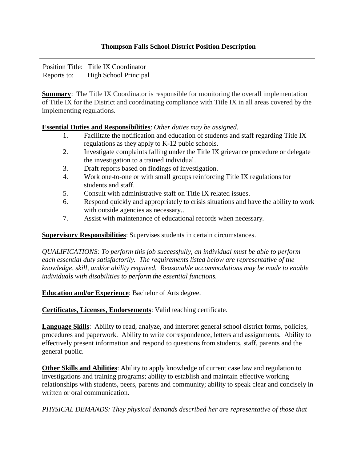## **Thompson Falls School District Position Description**

|             | Position Title: Title IX Coordinator |
|-------------|--------------------------------------|
| Reports to: | High School Principal                |

**Summary:** The Title IX Coordinator is responsible for monitoring the overall implementation of Title IX for the District and coordinating compliance with Title IX in all areas covered by the implementing regulations.

## **Essential Duties and Responsibilities**: *Other duties may be assigned.*

- 1. Facilitate the notification and education of students and staff regarding Title IX regulations as they apply to K-12 pubic schools.
- 2. Investigate complaints falling under the Title IX grievance procedure or delegate the investigation to a trained individual.
- 3. Draft reports based on findings of investigation.
- 4. Work one-to-one or with small groups reinforcing Title IX regulations for students and staff.
- 5. Consult with administrative staff on Title IX related issues.
- 6. Respond quickly and appropriately to crisis situations and have the ability to work with outside agencies as necessary..
- 7. Assist with maintenance of educational records when necessary.

## **Supervisory Responsibilities**: Supervises students in certain circumstances.

*QUALIFICATIONS: To perform this job successfully, an individual must be able to perform each essential duty satisfactorily. The requirements listed below are representative of the knowledge, skill, and/or ability required. Reasonable accommodations may be made to enable individuals with disabilities to perform the essential functions.* 

## **Education and/or Experience**: Bachelor of Arts degree.

**Certificates, Licenses, Endorsements**: Valid teaching certificate.

**Language Skills**: Ability to read, analyze, and interpret general school district forms, policies, procedures and paperwork. Ability to write correspondence, letters and assignments. Ability to effectively present information and respond to questions from students, staff, parents and the general public.

**Other Skills and Abilities**: Ability to apply knowledge of current case law and regulation to investigations and training programs; ability to establish and maintain effective working relationships with students, peers, parents and community; ability to speak clear and concisely in written or oral communication.

*PHYSICAL DEMANDS: They physical demands described her are representative of those that*